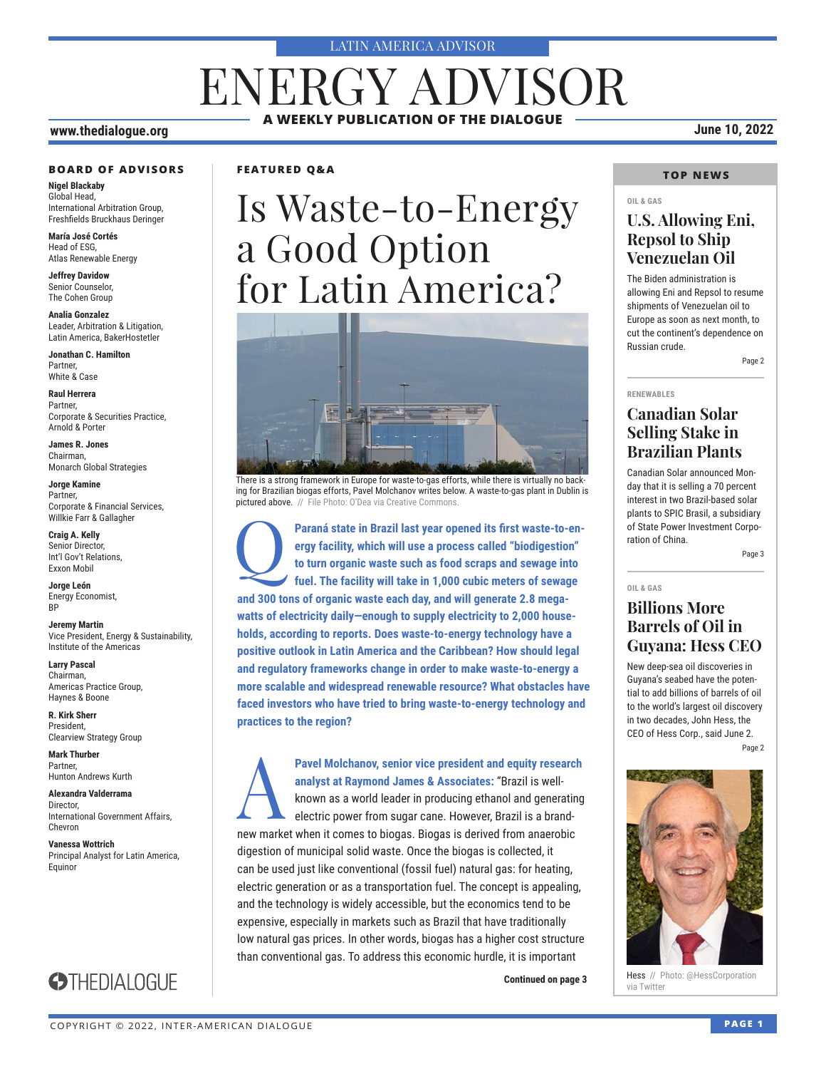#### LATIN AMERICA ADVISOR

# **A WEEKLY PUBLICATION OF THE DIALOGUE** ENERGY ADVISOR

### **www.thedialogue.org June 10, 2022**

#### **BOARD OF ADVISORS**

**Nigel Blackaby** Global Head, International Arbitration Group, Freshfields Bruckhaus Deringer

**María José Cortés** Head of ESG, Atlas Renewable Energy

**Jeffrey Davidow** Senior Counselor, The Cohen Group

**Analia Gonzalez** Leader, Arbitration & Litigation, Latin America, BakerHostetler

**Jonathan C. Hamilton** Partner, White & Case

**Raul Herrera** Partner, Corporate & Securities Practice, Arnold & Porter

**James R. Jones** Chairman, Monarch Global Strategies

**Jorge Kamine** Partner, Corporate & Financial Services, Willkie Farr & Gallagher

**Craig A. Kelly** Senior Director, Int'l Gov't Relations, Exxon Mobil

**Jorge León** Energy Economist, **RP** 

**Jeremy Martin** Vice President, Energy & Sustainability, Institute of the Americas

**Larry Pascal** Chairman, Americas Practice Group, Haynes & Boone

**R. Kirk Sherr** President, Clearview Strategy Group

**Mark Thurber** Partner, Hunton Andrews Kurth

**Alexandra Valderrama** Director, International Government Affairs, Chevron

**Vanessa Wottrich** Principal Analyst for Latin America, Equinor

**STHEDIALOGUE** 



# Is Waste-to-Energy a Good Option for Latin America?



There is a strong framework in Europe for waste-to-gas efforts, while there is virtually no backing for Brazilian biogas efforts, Pavel Molchanov writes below. A waste-to-gas plant in Dublin is pictured above. // File Photo: O'Dea via Creative Commons.

Paraná state in Brazil last year opened its first waste-to-en**ergy facility, which will use a process called "biodigestion" to turn organic waste such as food scraps and sewage into fuel. The facility will take in 1,000 cubic meters of sewage and 300 tons of organic waste each day, and will generate 2.8 megawatts of electricity daily—enough to supply electricity to 2,000 households, according to reports. Does waste-to-energy technology have a positive outlook in Latin America and the Caribbean? How should legal and regulatory frameworks change in order to make waste-to-energy a more scalable and widespread renewable resource? What obstacles have faced investors who have tried to bring waste-to-energy technology and practices to the region?**

**Pavel Molchanov, senior vice president and equity research analyst at Raymond James & Associates: "Brazil is well-<br>known as a world leader in producing ethanol and generating electric power from sugar cane. However, Brazi analyst at Raymond James & Associates:** "Brazil is wellknown as a world leader in producing ethanol and generating electric power from sugar cane. However, Brazil is a brandnew market when it comes to biogas. Biogas is derived from anaerobic digestion of municipal solid waste. Once the biogas is collected, it can be used just like conventional (fossil fuel) natural gas: for heating, electric generation or as a transportation fuel. The concept is appealing, and the technology is widely accessible, but the economics tend to be expensive, especially in markets such as Brazil that have traditionally low natural gas prices. In other words, biogas has a higher cost structure than conventional gas. To address this economic hurdle, it is important

**Continued on page 3** 

### **TOP NEWS**

#### **OIL & GAS**

### **U.S. Allowing Eni, Repsol to Ship Venezuelan Oil**

The Biden administration is allowing Eni and Repsol to resume shipments of Venezuelan oil to Europe as soon as next month, to cut the continent's dependence on Russian crude.

Page 2

#### **RENEWABLES**

### **Canadian Solar Selling Stake in Brazilian Plants**

Canadian Solar announced Monday that it is selling a 70 percent interest in two Brazil-based solar plants to SPIC Brasil, a subsidiary of State Power Investment Corporation of China.

Page 3

#### **OIL & GAS**

### **Billions More Barrels of Oil in Guyana: Hess CEO**

New deep-sea oil discoveries in Guyana's seabed have the potential to add billions of barrels of oil to the world's largest oil discovery in two decades, John Hess, the CEO of Hess Corp., said June 2. Page 2



Hess // Photo: @HessCorporation<br>via Twitter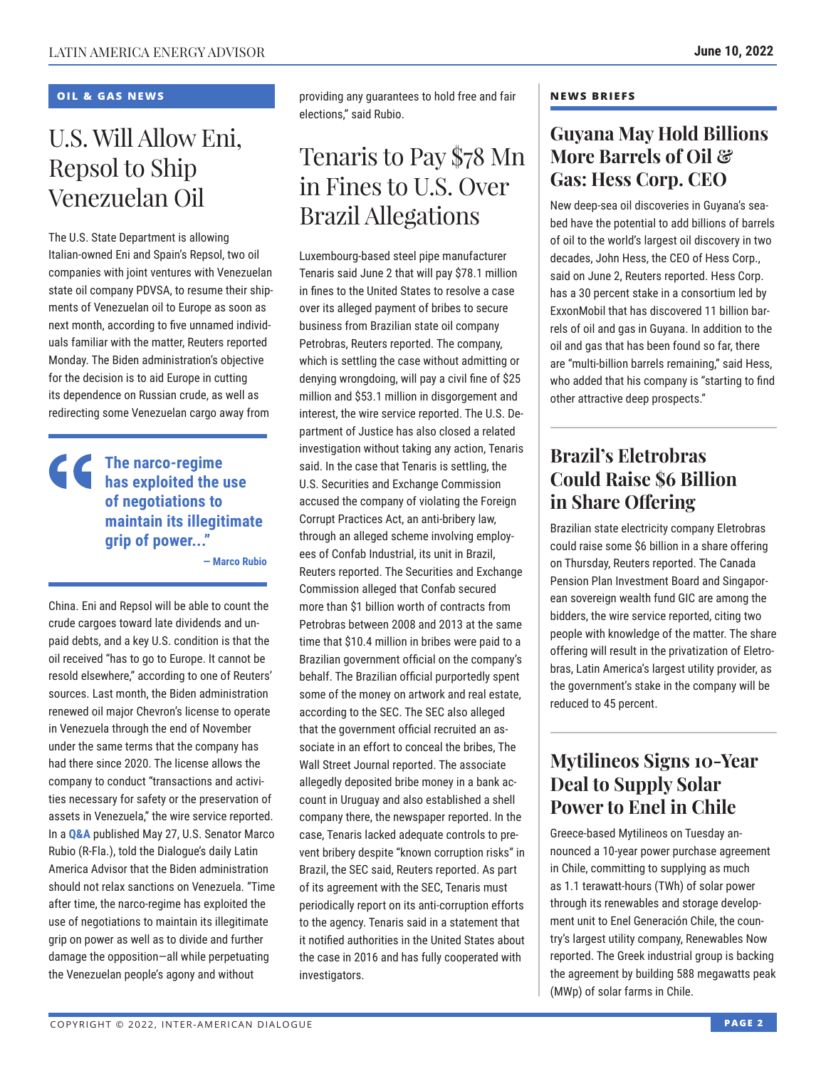### **OIL & GAS NEWS**

# U.S. Will Allow Eni, Repsol to Ship Venezuelan Oil

The U.S. State Department is allowing Italian-owned Eni and Spain's Repsol, two oil companies with joint ventures with Venezuelan state oil company PDVSA, to resume their shipments of Venezuelan oil to Europe as soon as next month, according to five unnamed individuals familiar with the matter, Reuters reported Monday. The Biden administration's objective for the decision is to aid Europe in cutting its dependence on Russian crude, as well as redirecting some Venezuelan cargo away from

### **The narco-regime has exploited the use of negotiations to maintain its illegitimate grip of power..."**

**— Marco Rubio**

China. Eni and Repsol will be able to count the crude cargoes toward late dividends and unpaid debts, and a key U.S. condition is that the oil received "has to go to Europe. It cannot be resold elsewhere," according to one of Reuters' sources. Last month, the Biden administration renewed oil major Chevron's license to operate in Venezuela through the end of November under the same terms that the company has had there since 2020. The license allows the company to conduct "transactions and activities necessary for safety or the preservation of assets in Venezuela," the wire service reported. In a **[Q&A](https://www.thedialogue.org/wp-content/uploads/2022/05/LAA220527.pdf)** published May 27, U.S. Senator Marco Rubio (R-Fla.), told the Dialogue's daily Latin America Advisor that the Biden administration should not relax sanctions on Venezuela. "Time after time, the narco-regime has exploited the use of negotiations to maintain its illegitimate grip on power as well as to divide and further damage the opposition—all while perpetuating the Venezuelan people's agony and without

providing any guarantees to hold free and fair elections," said Rubio.

# Tenaris to Pay \$78 Mn in Fines to U.S. Over Brazil Allegations

Luxembourg-based steel pipe manufacturer Tenaris said June 2 that will pay \$78.1 million in fines to the United States to resolve a case over its alleged payment of bribes to secure business from Brazilian state oil company Petrobras, Reuters reported. The company, which is settling the case without admitting or denying wrongdoing, will pay a civil fine of \$25 million and \$53.1 million in disgorgement and interest, the wire service reported. The U.S. Department of Justice has also closed a related investigation without taking any action, Tenaris said. In the case that Tenaris is settling, the U.S. Securities and Exchange Commission accused the company of violating the Foreign Corrupt Practices Act, an anti-bribery law, through an alleged scheme involving employees of Confab Industrial, its unit in Brazil, Reuters reported. The Securities and Exchange Commission alleged that Confab secured more than \$1 billion worth of contracts from Petrobras between 2008 and 2013 at the same time that \$10.4 million in bribes were paid to a Brazilian government official on the company's behalf. The Brazilian official purportedly spent some of the money on artwork and real estate, according to the SEC. The SEC also alleged that the government official recruited an associate in an effort to conceal the bribes, The Wall Street Journal reported. The associate allegedly deposited bribe money in a bank account in Uruguay and also established a shell company there, the newspaper reported. In the case, Tenaris lacked adequate controls to prevent bribery despite "known corruption risks" in Brazil, the SEC said, Reuters reported. As part of its agreement with the SEC, Tenaris must periodically report on its anti-corruption efforts to the agency. Tenaris said in a statement that it notified authorities in the United States about the case in 2016 and has fully cooperated with investigators.

#### **NEWS BRIEFS**

### **Guyana May Hold Billions More Barrels of Oil & Gas: Hess Corp. CEO**

New deep-sea oil discoveries in Guyana's seabed have the potential to add billions of barrels of oil to the world's largest oil discovery in two decades, John Hess, the CEO of Hess Corp., said on June 2, Reuters reported. Hess Corp. has a 30 percent stake in a consortium led by ExxonMobil that has discovered 11 billion barrels of oil and gas in Guyana. In addition to the oil and gas that has been found so far, there are "multi-billion barrels remaining," said Hess, who added that his company is "starting to find other attractive deep prospects."

### **Brazil's Eletrobras Could Raise \$6 Billion in Share Offering**

Brazilian state electricity company Eletrobras could raise some \$6 billion in a share offering on Thursday, Reuters reported. The Canada Pension Plan Investment Board and Singaporean sovereign wealth fund GIC are among the bidders, the wire service reported, citing two people with knowledge of the matter. The share offering will result in the privatization of Eletrobras, Latin America's largest utility provider, as the government's stake in the company will be reduced to 45 percent.

### **Mytilineos Signs 10-Year Deal to Supply Solar Power to Enel in Chile**

Greece-based Mytilineos on Tuesday announced a 10-year power purchase agreement in Chile, committing to supplying as much as 1.1 terawatt-hours (TWh) of solar power through its renewables and storage development unit to Enel Generación Chile, the country's largest utility company, Renewables Now reported. The Greek industrial group is backing the agreement by building 588 megawatts peak (MWp) of solar farms in Chile.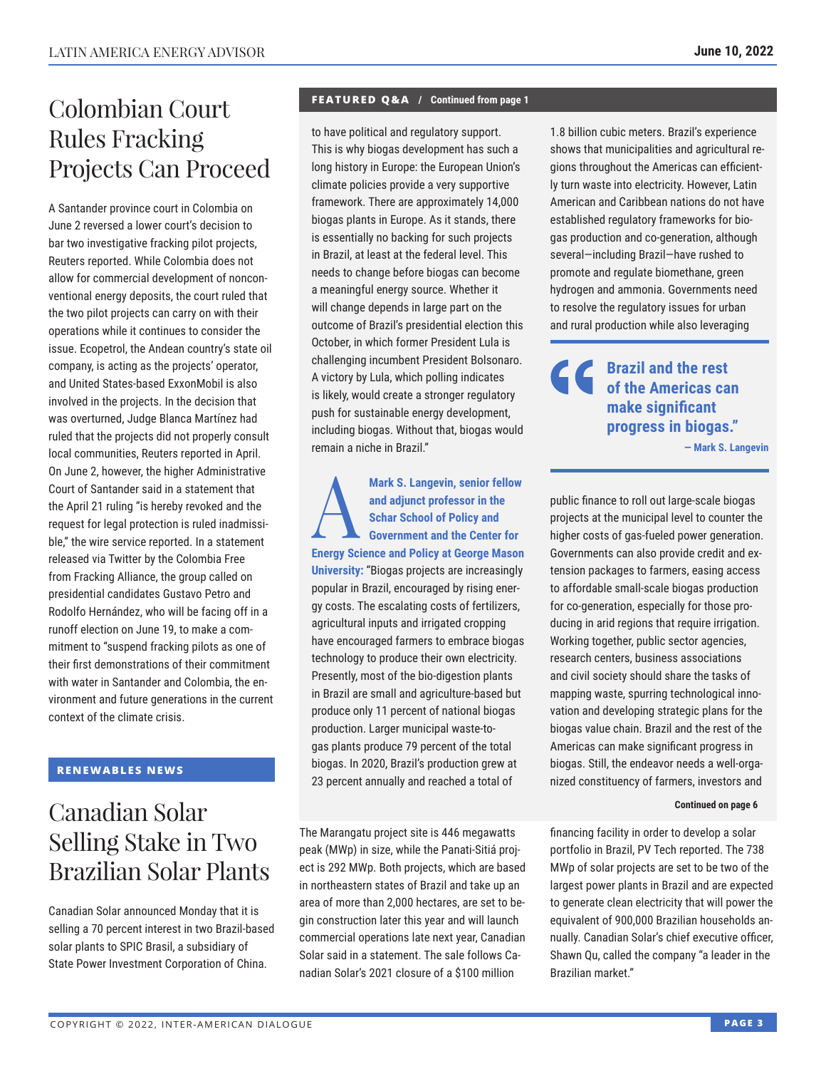# Colombian Court Rules Fracking Projects Can Proceed

A Santander province court in Colombia on June 2 reversed a lower court's decision to bar two investigative fracking pilot projects, Reuters reported. While Colombia does not allow for commercial development of nonconventional energy deposits, the court ruled that the two pilot projects can carry on with their operations while it continues to consider the issue. Ecopetrol, the Andean country's state oil company, is acting as the projects' operator, and United States-based ExxonMobil is also involved in the projects. In the decision that was overturned, Judge Blanca Martínez had ruled that the projects did not properly consult local communities, Reuters reported in April. On June 2, however, the higher Administrative Court of Santander said in a statement that the April 21 ruling "is hereby revoked and the request for legal protection is ruled inadmissible," the wire service reported. In a statement released via Twitter by the Colombia Free from Fracking Alliance, the group called on presidential candidates Gustavo Petro and Rodolfo Hernández, who will be facing off in a runoff election on June 19, to make a commitment to "suspend fracking pilots as one of their first demonstrations of their commitment with water in Santander and Colombia, the environment and future generations in the current context of the climate crisis.

### **RENEWABLES NEWS**

# Canadian Solar Selling Stake in Two Brazilian Solar Plants

Canadian Solar announced Monday that it is selling a 70 percent interest in two Brazil-based solar plants to SPIC Brasil, a subsidiary of State Power Investment Corporation of China.

#### **FEATURED Q&A / Continued from page 1**

to have political and regulatory support. This is why biogas development has such a long history in Europe: the European Union's climate policies provide a very supportive framework. There are approximately 14,000 biogas plants in Europe. As it stands, there is essentially no backing for such projects in Brazil, at least at the federal level. This needs to change before biogas can become a meaningful energy source. Whether it will change depends in large part on the outcome of Brazil's presidential election this October, in which former President Lula is challenging incumbent President Bolsonaro. A victory by Lula, which polling indicates is likely, would create a stronger regulatory push for sustainable energy development, including biogas. Without that, biogas would remain a niche in Brazil."

Mark S. Langevin, senior fellow<br>
and adjunct professor in the<br>
Schar School of Policy and<br>
Government and the Center for **and adjunct professor in the Schar School of Policy and Government and the Center for Energy Science and Policy at George Mason University:** "Biogas projects are increasingly popular in Brazil, encouraged by rising energy costs. The escalating costs of fertilizers, agricultural inputs and irrigated cropping have encouraged farmers to embrace biogas technology to produce their own electricity. Presently, most of the bio-digestion plants in Brazil are small and agriculture-based but produce only 11 percent of national biogas production. Larger municipal waste-togas plants produce 79 percent of the total biogas. In 2020, Brazil's production grew at 23 percent annually and reached a total of

The Marangatu project site is 446 megawatts peak (MWp) in size, while the Panati-Sitiá project is 292 MWp. Both projects, which are based in northeastern states of Brazil and take up an area of more than 2,000 hectares, are set to begin construction later this year and will launch commercial operations late next year, Canadian Solar said in a statement. The sale follows Canadian Solar's 2021 closure of a \$100 million

1.8 billion cubic meters. Brazil's experience shows that municipalities and agricultural regions throughout the Americas can efficiently turn waste into electricity. However, Latin American and Caribbean nations do not have established regulatory frameworks for biogas production and co-generation, although several—including Brazil—have rushed to promote and regulate biomethane, green hydrogen and ammonia. Governments need to resolve the regulatory issues for urban and rural production while also leveraging

**Brazil and the rest of the Americas can make significant progress in biogas." — Mark S. Langevin**

public finance to roll out large-scale biogas projects at the municipal level to counter the higher costs of gas-fueled power generation. Governments can also provide credit and extension packages to farmers, easing access to affordable small-scale biogas production for co-generation, especially for those producing in arid regions that require irrigation. Working together, public sector agencies, research centers, business associations and civil society should share the tasks of mapping waste, spurring technological innovation and developing strategic plans for the biogas value chain. Brazil and the rest of the Americas can make significant progress in biogas. Still, the endeavor needs a well-organized constituency of farmers, investors and

#### **Continued on page 6**

financing facility in order to develop a solar portfolio in Brazil, PV Tech reported. The 738 MWp of solar projects are set to be two of the largest power plants in Brazil and are expected to generate clean electricity that will power the equivalent of 900,000 Brazilian households annually. Canadian Solar's chief executive officer, Shawn Qu, called the company "a leader in the Brazilian market."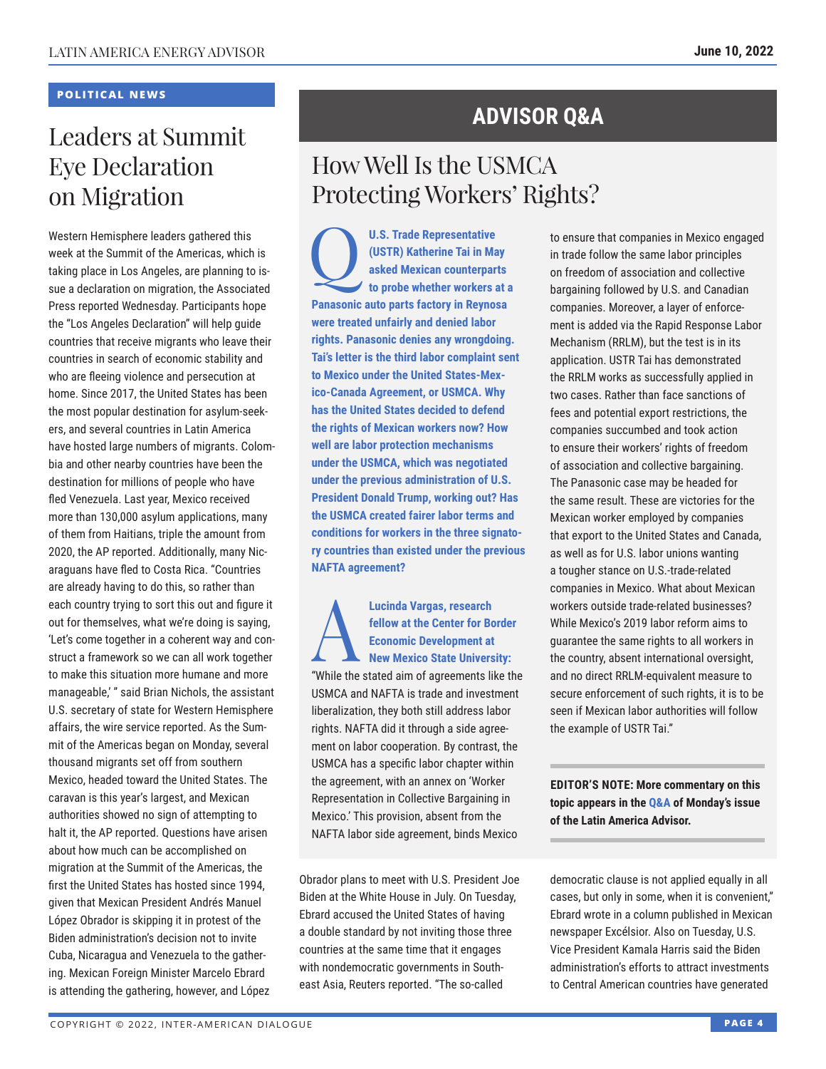### **POLITICAL NEWS**

# Leaders at Summit Eye Declaration on Migration

Western Hemisphere leaders gathered this week at the Summit of the Americas, which is taking place in Los Angeles, are planning to issue a declaration on migration, the Associated Press reported Wednesday. Participants hope the "Los Angeles Declaration" will help guide countries that receive migrants who leave their countries in search of economic stability and who are fleeing violence and persecution at home. Since 2017, the United States has been the most popular destination for asylum-seekers, and several countries in Latin America have hosted large numbers of migrants. Colombia and other nearby countries have been the destination for millions of people who have fled Venezuela. Last year, Mexico received more than 130,000 asylum applications, many of them from Haitians, triple the amount from 2020, the AP reported. Additionally, many Nicaraguans have fled to Costa Rica. "Countries are already having to do this, so rather than each country trying to sort this out and figure it out for themselves, what we're doing is saying, 'Let's come together in a coherent way and construct a framework so we can all work together to make this situation more humane and more manageable,'" said Brian Nichols, the assistant U.S. secretary of state for Western Hemisphere affairs, the wire service reported. As the Summit of the Americas began on Monday, several thousand migrants set off from southern Mexico, headed toward the United States. The caravan is this year's largest, and Mexican authorities showed no sign of attempting to halt it, the AP reported. Questions have arisen about how much can be accomplished on migration at the Summit of the Americas, the first the United States has hosted since 1994, given that Mexican President Andrés Manuel López Obrador is skipping it in protest of the Biden administration's decision not to invite Cuba, Nicaragua and Venezuela to the gathering. Mexican Foreign Minister Marcelo Ebrard is attending the gathering, however, and López

## **ADVISOR Q&A**

# How Well Is the USMCA Protecting Workers' Rights?

**U.S. Trade Representative**<br>
(USTR) Katherine Tai in Ma<br>
asked Mexican counterpar<br>
to probe whether workers a **(USTR) Katherine Tai in May asked Mexican counterparts to probe whether workers at a Panasonic auto parts factory in Reynosa were treated unfairly and denied labor rights. Panasonic denies any wrongdoing. Tai's letter is the third labor complaint sent to Mexico under the United States-Mexico-Canada Agreement, or USMCA. Why has the United States decided to defend the rights of Mexican workers now? How well are labor protection mechanisms under the USMCA, which was negotiated under the previous administration of U.S. President Donald Trump, working out? Has the USMCA created fairer labor terms and conditions for workers in the three signatory countries than existed under the previous NAFTA agreement?**

**Lucinda Vargas, research<br>
fellow at the Center for Bc<br>
Economic Development at<br>
New Mexico State Univers<br>
"While the oteted eim of organisments li fellow at the Center for Border Economic Development at New Mexico State University:** "While the stated aim of agreements like the USMCA and NAFTA is trade and investment liberalization, they both still address labor rights. NAFTA did it through a side agreement on labor cooperation. By contrast, the USMCA has a specific labor chapter within the agreement, with an annex on 'Worker Representation in Collective Bargaining in Mexico.' This provision, absent from the NAFTA labor side agreement, binds Mexico

Obrador plans to meet with U.S. President Joe Biden at the White House in July. On Tuesday, Ebrard accused the United States of having a double standard by not inviting those three countries at the same time that it engages with nondemocratic governments in Southeast Asia, Reuters reported. "The so-called

to ensure that companies in Mexico engaged in trade follow the same labor principles on freedom of association and collective bargaining followed by U.S. and Canadian companies. Moreover, a layer of enforcement is added via the Rapid Response Labor Mechanism (RRLM), but the test is in its application. USTR Tai has demonstrated the RRLM works as successfully applied in two cases. Rather than face sanctions of fees and potential export restrictions, the companies succumbed and took action to ensure their workers' rights of freedom of association and collective bargaining. The Panasonic case may be headed for the same result. These are victories for the Mexican worker employed by companies that export to the United States and Canada, as well as for U.S. labor unions wanting a tougher stance on U.S.-trade-related companies in Mexico. What about Mexican workers outside trade-related businesses? While Mexico's 2019 labor reform aims to guarantee the same rights to all workers in the country, absent international oversight, and no direct RRLM-equivalent measure to secure enforcement of such rights, it is to be seen if Mexican labor authorities will follow the example of USTR Tai."

**EDITOR'S NOTE: More commentary on this topic appears in the [Q&A](https://www.thedialogue.org/wp-content/uploads/2022/06/LAA220606.pdf) of Monday's issue of the Latin America Advisor.**

democratic clause is not applied equally in all cases, but only in some, when it is convenient," Ebrard wrote in a column published in Mexican newspaper Excélsior. Also on Tuesday, U.S. Vice President Kamala Harris said the Biden administration's efforts to attract investments to Central American countries have generated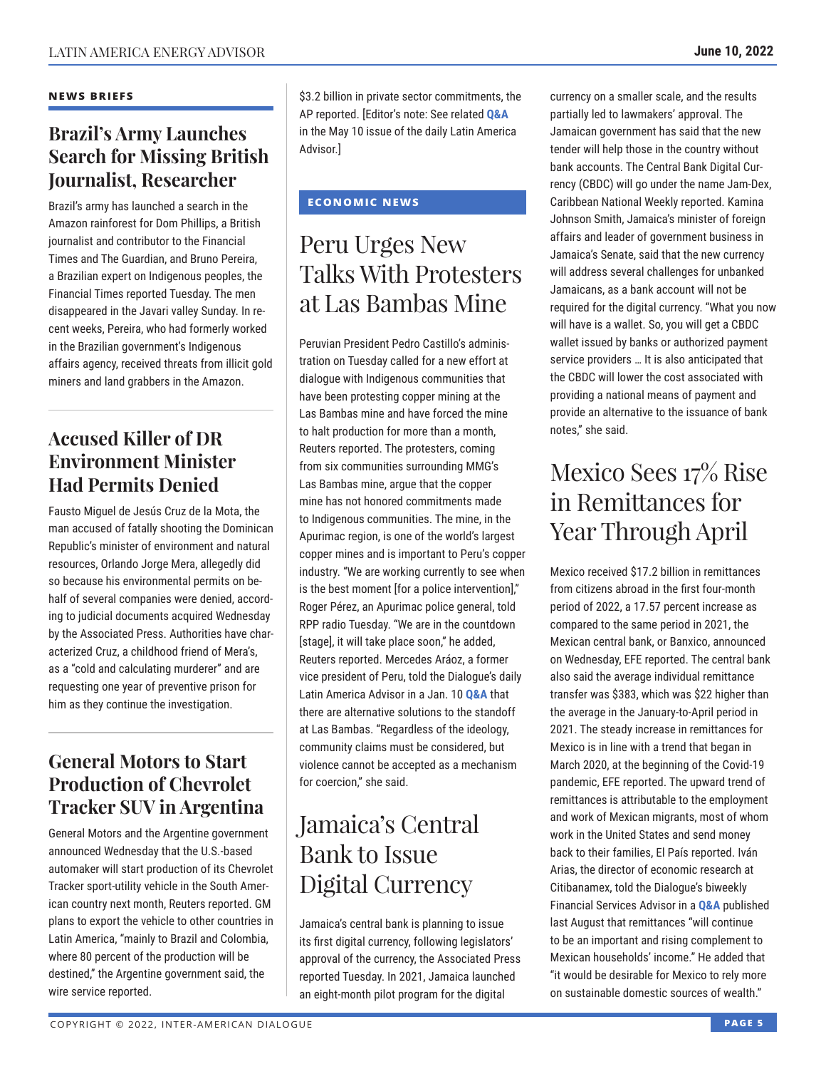### **Brazil's Army Launches Search for Missing British Journalist, Researcher**

Brazil's army has launched a search in the Amazon rainforest for Dom Phillips, a British journalist and contributor to the Financial Times and The Guardian, and Bruno Pereira, a Brazilian expert on Indigenous peoples, the Financial Times reported Tuesday. The men disappeared in the Javari valley Sunday. In recent weeks, Pereira, who had formerly worked in the Brazilian government's Indigenous affairs agency, received threats from illicit gold miners and land grabbers in the Amazon.

### **Accused Killer of DR Environment Minister Had Permits Denied**

Fausto Miguel de Jesús Cruz de la Mota, the man accused of fatally shooting the Dominican Republic's minister of environment and natural resources, Orlando Jorge Mera, allegedly did so because his environmental permits on behalf of several companies were denied, according to judicial documents acquired Wednesday by the Associated Press. Authorities have characterized Cruz, a childhood friend of Mera's, as a "cold and calculating murderer" and are requesting one year of preventive prison for him as they continue the investigation.

### **General Motors to Start Production of Chevrolet Tracker SUV in Argentina**

General Motors and the Argentine government announced Wednesday that the U.S.-based automaker will start production of its Chevrolet Tracker sport-utility vehicle in the South American country next month, Reuters reported. GM plans to export the vehicle to other countries in Latin America, "mainly to Brazil and Colombia, where 80 percent of the production will be destined," the Argentine government said, the wire service reported.

\$3.2 billion in private sector commitments, the AP reported. [Editor's note: See related **[Q&A](https://www.thedialogue.org/wp-content/uploads/2022/05/LAA220510.pdf)** in the May 10 issue of the daily Latin America Advisor.]

### **ECONOMIC NEWS**

# Peru Urges New Talks With Protesters at Las Bambas Mine

Peruvian President Pedro Castillo's administration on Tuesday called for a new effort at dialogue with Indigenous communities that have been protesting copper mining at the Las Bambas mine and have forced the mine to halt production for more than a month, Reuters reported. The protesters, coming from six communities surrounding MMG's Las Bambas mine, argue that the copper mine has not honored commitments made to Indigenous communities. The mine, in the Apurimac region, is one of the world's largest copper mines and is important to Peru's copper industry. "We are working currently to see when is the best moment [for a police intervention]," Roger Pérez, an Apurimac police general, told RPP radio Tuesday. "We are in the countdown [stage], it will take place soon," he added, Reuters reported. Mercedes Aráoz, a former vice president of Peru, told the Dialogue's daily Latin America Advisor in a Jan. 10 **Q&A** that there are alternative solutions to [the stand](https://www.thedialogue.org/wp-content/uploads/2022/01/LAA220110.pdf)off at Las Bambas. "Regardless of the ideology, community claims must be considered, but violence cannot be accepted as a mechanism for coercion," she said.

# Jamaica's Central Bank to Issue Digital Currency

Jamaica's central bank is planning to issue its first digital currency, following legislators' approval of the currency, the Associated Press reported Tuesday. In 2021, Jamaica launched an eight-month pilot program for the digital

currency on a smaller scale, and the results partially led to lawmakers' approval. The Jamaican government has said that the new tender will help those in the country without bank accounts. The Central Bank Digital Currency (CBDC) will go under the name Jam-Dex, Caribbean National Weekly reported. Kamina Johnson Smith, Jamaica's minister of foreign affairs and leader of government business in Jamaica's Senate, said that the new currency will address several challenges for unbanked Jamaicans, as a bank account will not be required for the digital currency. "What you now will have is a wallet. So, you will get a CBDC wallet issued by banks or authorized payment service providers … It is also anticipated that the CBDC will lower the cost associated with providing a national means of payment and provide an alternative to the issuance of bank notes," she said.

# Mexico Sees 17% Rise in Remittances for Year Through April

Mexico received \$17.2 billion in remittances from citizens abroad in the first four-month period of 2022, a 17.57 percent increase as compared to the same period in 2021, the Mexican central bank, or Banxico, announced on Wednesday, EFE reported. The central bank also said the average individual remittance transfer was \$383, which was \$22 higher than the average in the January-to-April period in 2021. The steady increase in remittances for Mexico is in line with a trend that began in March 2020, at the beginning of the Covid-19 pandemic, EFE reported. The upward trend of remittances is attributable to the employment and work of Mexican migrants, most of whom work in the United States and send money back to their families, El País reported. Iván Arias, the director of economic research at Citibanamex, told the Dialogue's biweekly Financial Services Advisor in a **[Q&A](https://www.thedialogue.org/wp-content/uploads/2021/08/FSA210825.pdf)** published last August that remittances "will continue to be an important and rising complement to Mexican households' income." He added that "it would be desirable for Mexico to rely more on sustainable domestic sources of wealth."